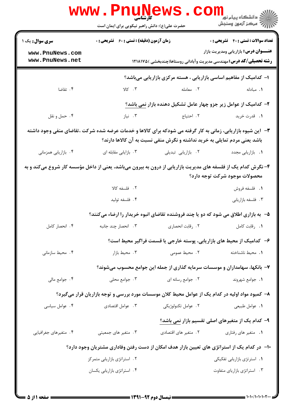|                                                                                                                                                                                           | <b>www.PnuNews</b><br>کارشناسی<br>حضرت علی(ع): دانش راهبر نیکویی برای ایمان است                  |                                                                            | ر دانشگاه پيام نور <mark>−</mark><br>ار <i>آهر کرد آزمون وسنجش</i>                                                         |
|-------------------------------------------------------------------------------------------------------------------------------------------------------------------------------------------|--------------------------------------------------------------------------------------------------|----------------------------------------------------------------------------|----------------------------------------------------------------------------------------------------------------------------|
| <b>سری سوال :</b> یک ۱                                                                                                                                                                    | <b>زمان آزمون (دقیقه) : تستی : 60 ٪ تشریحی : 0</b>                                               |                                                                            | <b>تعداد سوالات : تستي : 40 ٪ تشريحي : 0</b>                                                                               |
| www.PnuNews.com<br>www.PnuNews.net                                                                                                                                                        |                                                                                                  |                                                                            | <b>عنـــوان درس:</b> بازاریابی ومدیریت بازار<br><b>رشته تحصیلی/کد درس:</b> مهندسی مدیریت وآبادانی روستاها(چندبخشی )۱۲۱۸۱۷۵ |
|                                                                                                                                                                                           |                                                                                                  | ا- کدامیک از مفاهیم اساسی بازاریابی ، هسته مرکزی بازاریابی میباشد؟         |                                                                                                                            |
| ۰۴ تقاضا                                                                                                                                                                                  | $Y\subset \mathbb{C}$ . $\mathbf{Y}$                                                             | ٢. معامله                                                                  | ۰۱ مبادله                                                                                                                  |
|                                                                                                                                                                                           |                                                                                                  | ۲- کدامیک از عوامل زیر جزو چهار عامل تشکیل دهنده بازار نمی باشد؟           |                                                                                                                            |
| ۰۴ حمل و نقل                                                                                                                                                                              | ۰۳ نیاز                                                                                          | <b>۱.</b> قدرت خرید مسلم ۲. احتیاج                                         |                                                                                                                            |
| ۳- آین شیوه بازاریابی، زمانی به کار گرفته می شودکه برای کالاها و خدمات عرضه شده شرکت ،تقاضای منفی وجود داشته<br>باشد یعنی مردم تمایلی به خرید نداشته و نگرش منفی نسبت به آن کالاها دارند؟ |                                                                                                  |                                                                            |                                                                                                                            |
| ۰۴ بازاریابی همزمانی                                                                                                                                                                      | ۰۳ بازایابی مقابله ای                                                                            | ٢. بازاريابى تبديلى                                                        | ۰۱ بازاریابی مجدد                                                                                                          |
| ۴- نگرش کدام یک از فلسفه های مدیریت بازاریابی از درون به بیرون میباشد، یعنی از داخل مؤسسه کار شروع میکند و به                                                                             |                                                                                                  |                                                                            | محصولات موجود شركت توجه دارد؟                                                                                              |
|                                                                                                                                                                                           | ٢. فلسفه كالا                                                                                    |                                                                            | <b>۱.</b> فلسفه فروش                                                                                                       |
|                                                                                                                                                                                           | ۰۴ فلسفه توليد                                                                                   |                                                                            | ۰۳ فلسفه بازاريابي                                                                                                         |
|                                                                                                                                                                                           | ۵− ً به بازاری اطلاق می شود که دو یا چند فروشنده تقاضای انبوه خریدار را ارضاء میکنند؟            |                                                                            |                                                                                                                            |
| ۰۴ انحصار کامل                                                                                                                                                                            |                                                                                                  |                                                                            |                                                                                                                            |
|                                                                                                                                                                                           |                                                                                                  | ۶– کدامیک از محیط های بازاریابی، پوسته خارجی یا قسمت فراگیر محیط است؟      |                                                                                                                            |
| ۰۴ محیط سازمانی                                                                                                                                                                           | ۰۳ محیط بازار                                                                                    | ٢. محيط عمومى                                                              | ٠١. محيط ناشناخته                                                                                                          |
|                                                                                                                                                                                           |                                                                                                  | ۷– بانکها، سهامداران و موسسات سرمایه گذاری از جمله این جوامع محسوب میشوند؟ |                                                                                                                            |
| ۰۴ جوامع مالي                                                                                                                                                                             | ۰۳ جوامع محلی                                                                                    | ٢. جوامع رسانه ای                                                          | ٠١. جوامع شهروند                                                                                                           |
|                                                                                                                                                                                           | ۸– کمبود مواد اولیه در کدام یک از عوامل محیط کلان موسسات مورد بررسی و توجه بازاریان قرار میگیرد؟ |                                                                            |                                                                                                                            |
| ۰۴ عوامل سیاسی                                                                                                                                                                            | ۰۳ عوامل اقتصادي                                                                                 | ٢. عوامل تكنولوژيكي                                                        | ٠١. عوامل طبيعي                                                                                                            |
|                                                                                                                                                                                           |                                                                                                  |                                                                            | ۹- کدام یک از متغیرهای اصلی تقسیم بازار نمی باشد؟                                                                          |
| ۰۴ متغیرهای جغرافیایی                                                                                                                                                                     | ۰۳ متغیر های جمعیتی                                                                              | ۰۲ متغیر های اقتصادی                                                       | ۰۱ متغیر های رفتاری                                                                                                        |
|                                                                                                                                                                                           | ∙ا− ً در کدام یک از استراتژی های تعیین بازار هدف امکان از دست رفتن وفاداری مشتریان وجود دارد؟    |                                                                            |                                                                                                                            |
|                                                                                                                                                                                           | ٠٢ استراتژى بازاريابى متمركز                                                                     |                                                                            | ٠١. استرتژى بازاريابى تفكيكى                                                                                               |
|                                                                                                                                                                                           | ۰۴ استراتژی بازاریابی یکسان                                                                      |                                                                            | ٠٣ استراتژى بازارياى متفاوت                                                                                                |
|                                                                                                                                                                                           |                                                                                                  |                                                                            |                                                                                                                            |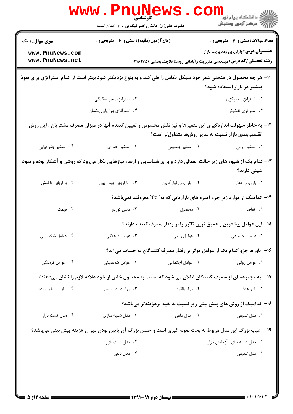| <b>سری سوال : ۱ یک</b>                                                                                               | <b>زمان آزمون (دقیقه) : تستی : 60 ٪ تشریحی : 0</b> |                                                                                                                                                                   | <b>تعداد سوالات : تستي : 40 ٪ تشريحي : 0</b> |
|----------------------------------------------------------------------------------------------------------------------|----------------------------------------------------|-------------------------------------------------------------------------------------------------------------------------------------------------------------------|----------------------------------------------|
| www.PnuNews.com                                                                                                      |                                                    |                                                                                                                                                                   | <b>عنـــوان درس:</b> بازاریابی ومدیریت بازار |
| www.PnuNews.net                                                                                                      |                                                    | <b>رشته تحصیلی/کد درس:</b> مهندسی مدیریت وآبادانی روستاها(چندبخشی )۱۲۱۸۱۷۵                                                                                        |                                              |
| 11- هر چه محصول در منحنی عمر خود سیکل تکامل را طی کند و به بلوغ نزدیکتر شود بهتر است از کدام استراتژی برای نفوذ      |                                                    |                                                                                                                                                                   | بیشتر در بازار استفاده شود؟                  |
|                                                                                                                      | ۰۲ استراتژی غیر تفکیکی                             |                                                                                                                                                                   | ٠١. استراتژى تمركزى                          |
|                                                                                                                      | ۰۴ استراتژی بازاریابی یکسان                        |                                                                                                                                                                   | ۰۳ استراتژی تفکیکی                           |
|                                                                                                                      |                                                    | ۱۲– به خاطر سهولت اندازهگیری این متغیرها و نیز نقش محسوس و تعیین کننده آنها در میزان مصرف مشتریان ، این روش<br>تقسیم بندی بازار نسبت به سایر روشها متداول تر است؟ |                                              |
| ۰۴ متغير جغرافيايي                                                                                                   | ۰۳ متغیر رفتاری                                    | ۰۲ متغیر جمعیتی                                                                                                                                                   | ۰۱ متغیر روانی                               |
| ۱۳– کدام یک از شیوه های زیر حالت انفعالی دارد و برای شناسایی و ارضاء نیازهایی بکار میرود که روشن و آشکار بوده و نمود |                                                    |                                                                                                                                                                   | عینی دارند؟                                  |
| ۰۴ بازاریابی واکنش                                                                                                   | ٠٣ بازاريابي پيش بين                               | ٢. بازاريابي نيازآفرين                                                                                                                                            | ۰۱ بازاریابی فعال                            |
| ۱۴- کدامیک از موارد زیر جزء آمیزه های بازاریابی که به" ۴p" معروفند نمیباشد؟                                          |                                                    |                                                                                                                                                                   |                                              |
| ۰۴ قیمت                                                                                                              | ۰۳ مکان توزیع                                      | ۰۲ محصول                                                                                                                                                          | ۰۱ تقاضا                                     |
|                                                                                                                      |                                                    | ۱۵– این عوامل بیشترین و عمیق ترین تاثیر را بر رفتار مصرف کننده دارند؟                                                                                             |                                              |
| ۰۴ عوامل شخصيتى                                                                                                      | ۰۳ عوامل فرهنگی                                    | ۰۲ عوامل روانی                                                                                                                                                    | 1. عوامل اجتماعي                             |
|                                                                                                                      |                                                    | ۱۶– باورها جزو کدام یک از عوامل موثر بر رفتار مصرف کنندگان به حساب میآید؟                                                                                         |                                              |
| ۰۴ عوامل فرهنگی                                                                                                      | ۰۳ عوامل شخصیتی                                    | ٢. عوامل اجتماعی                                                                                                                                                  | ٠١. عوامل رواني                              |
|                                                                                                                      |                                                    | <b>۱۷</b> - به مجموعه ای از مصرف کنندگان اطلاق می شود که نسبت به محصول خاص از خود علاقه لازم را نشان میدهند؟                                                      |                                              |
| ۰۴ بازار تسخیر شده                                                                                                   | ۰۳ بازار در دسترس                                  | ۰۲ بازار بالقوه                                                                                                                                                   | <b>۱.</b> بازار هدف                          |
|                                                                                                                      |                                                    | ۱۸– کدامیک از روش های پیش بینی زیر نسبت به بقیه پرهزینهتر میباشد؟                                                                                                 |                                              |
| ۰۴ مدل تست بازار                                                                                                     | ۰۳ مدل شبیه سازی                                   | ۰۲ مدل دلفی                                                                                                                                                       | <b>۱.</b> مدل تلفیقی                         |
|                                                                                                                      |                                                    | <b>۱۹</b> - عیب بزرگ این مدل مربوط به بحث نمونه گیری است و حسن بزرگ آن پایین بودن میزان هزینه پیش بینی میباشد؟                                                    |                                              |
|                                                                                                                      | ۰۲ مدل تست بازار                                   |                                                                                                                                                                   | ۰۱ مدل شبیه سازی آزمایش بازار                |
|                                                                                                                      | ۰۴ مدل دلفی                                        |                                                                                                                                                                   | ۰۳ مدل تلفیقی                                |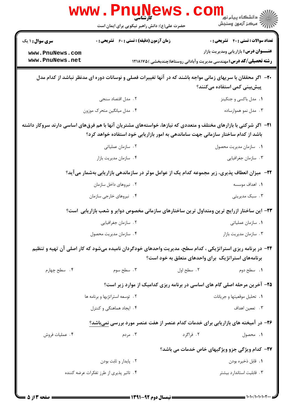|                                                                                                                                             | WWW.PHUN<br>حضرت علی(ع): دانش راهبر نیکویی برای ایمان است                                                                                                                                                       |            | دانشکاه پيام نور<br>(⊂ مرکز آزمون وسنجش                                     |
|---------------------------------------------------------------------------------------------------------------------------------------------|-----------------------------------------------------------------------------------------------------------------------------------------------------------------------------------------------------------------|------------|-----------------------------------------------------------------------------|
| <b>سری سوال : ۱ یک</b>                                                                                                                      | <b>زمان آزمون (دقیقه) : تستی : 60 ٪ تشریحی : 0</b>                                                                                                                                                              |            | <b>تعداد سوالات : تستي : 40 قشريحي : 0</b>                                  |
| www.PnuNews.com                                                                                                                             |                                                                                                                                                                                                                 |            | <b>عنـــوان درس:</b> بازاریابی ومدیریت بازار                                |
| www.PnuNews.net                                                                                                                             |                                                                                                                                                                                                                 |            | <b>رشته تحصیلی/کد درس:</b> مهندسی مدیریت وآبادانی روستاها(چندبخشی ) ۱۲۱۸۱۷۵ |
| +۲- اگر محققان با سریهای زمانی مواجه باشند که در آنها تغییرات فصلی و نوسانات دوره ای مدنظر نباشد از کدام مدل<br>پیشبینی کمی استفاده میکنند؟ |                                                                                                                                                                                                                 |            |                                                                             |
|                                                                                                                                             | ۲. مدل اقتصاد سنجی                                                                                                                                                                                              |            | ۰۱ مدل باکسی و جنکینز                                                       |
|                                                                                                                                             | ۰۴ مدل میانگین متحرک موزون                                                                                                                                                                                      |            | ۰۳ مدل نمو هموارساده                                                        |
|                                                                                                                                             | <b>۲۱</b> -   اگر شرکتی با بازارهای مختلف و متعددی که نیازها، خواستههای مشتریان آنها با هم فرقهای اساسی دارند سروکار داشته<br>باشد از کدام ساختار سازمانی جهت ساماندهی به امور بازاریابی خود استفاده خواهد کرد؟ |            |                                                                             |
|                                                                                                                                             | ۰۲ سازمان عملیاتی                                                                                                                                                                                               |            | 1. سازمان مديريت محصول                                                      |
|                                                                                                                                             | ۰۴ سازمان مديريت بازار                                                                                                                                                                                          |            | ۰۳ سازمان جغرافیایی                                                         |
|                                                                                                                                             | <b>۲۲</b> - ً میزان انعطاف پذیری، زیر مجموعه کدام یک از عوامل موثر در سازماندهی بازاریابی بهشمار میآید؟                                                                                                         |            |                                                                             |
|                                                                                                                                             | ۰۲ نیروهای داخل سازمان                                                                                                                                                                                          |            | <b>۱.</b> اهداف موسسه                                                       |
|                                                                                                                                             | ۰۴ نیروهای خارجی سازمان                                                                                                                                                                                         |            | ۰۳ سبک مدیریتی                                                              |
|                                                                                                                                             | ۲۳– این ساختار ازرایج ترین ومتداول ترین ساختارهای سازمانی مخصوص دوایر و شعب بازاریابی است؟                                                                                                                      |            |                                                                             |
|                                                                                                                                             | ۰۲ سازمان جغرافیایی                                                                                                                                                                                             |            | ۰۱ سازمان عملیاتی                                                           |
|                                                                                                                                             | ۰۴ سازمان مديريت محصول                                                                                                                                                                                          |            | ۰۳ سازمان مديريت بازار                                                      |
|                                                                                                                                             | ۲۴- در برنامه ریزی استراتژیکی ، کدام سطح، مدیریت واحدهای خودگردان نامیده میشود که کار اصلی آن تهیه و تنظیم                                                                                                      |            | برنامههای استراتژیک برای واحدهای متعلق به خود است؟                          |
| ۰۴ سطح چهارم                                                                                                                                | ۰۳ سطح سوم                                                                                                                                                                                                      | ۰۲ سطح اول | ۰۱ سطح دوم                                                                  |
|                                                                                                                                             | ۲۵- آخرین مرحله اصلی گام های اساسی در برنامه ریزی کدامیک از موارد زیر است؟                                                                                                                                      |            |                                                                             |
|                                                                                                                                             | ۲. توسعه استراتژیها و برنامه ها                                                                                                                                                                                 |            | ٠١. تحليل موقعيتها وجريانات                                                 |
|                                                                                                                                             | ۰۴ ایجاد هماهنگی و کنترل                                                                                                                                                                                        |            | ۰۳ تععین اهداف                                                              |
|                                                                                                                                             | ۲۶- در آمیخته های بازاریابی برای خدمات کدام عنصر از هفت عنصر مورد بررسی نمیباشد؟                                                                                                                                |            |                                                                             |
| ۰۴ عملیات فروش                                                                                                                              | ۰۳ مردم                                                                                                                                                                                                         | ۰۲ فراگرد  | ٠١. محصول                                                                   |
|                                                                                                                                             |                                                                                                                                                                                                                 |            | <b>۲۷- کدام ویژگی جزو ویژگیهای خاص خدمات می باشد؟</b>                       |
|                                                                                                                                             | ۰۲ پایدار و ثابت بودن                                                                                                                                                                                           |            | ٠١. قابل ذخيره بودن                                                         |
|                                                                                                                                             | ۴.  تاثیر پذیری از طرز تفکرات عرضه کننده                                                                                                                                                                        |            | ۰۳ قابلیت استاندار د بیشتر                                                  |
|                                                                                                                                             |                                                                                                                                                                                                                 |            |                                                                             |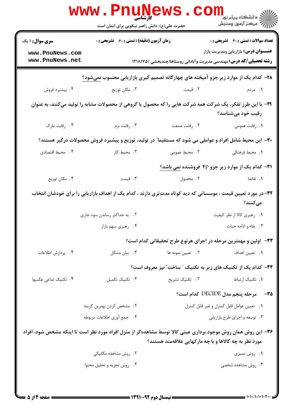|                                                                                                               | <b>WWW.PNUNEWS</b><br><b>کارشناسی</b><br>حضرت علی(ع): دانش راهبر نیکویی برای ایمان است                        |                                                        | الان دانشگاه پيام نور دا<br>الان مرکز آزمون وسنجش                                                                          |
|---------------------------------------------------------------------------------------------------------------|---------------------------------------------------------------------------------------------------------------|--------------------------------------------------------|----------------------------------------------------------------------------------------------------------------------------|
| <b>سری سوال : ۱ یک</b>                                                                                        | <b>زمان آزمون (دقیقه) : تستی : 60 ٪ تشریحی : 0</b>                                                            |                                                        | <b>تعداد سوالات : تستی : 40 - تشریحی : 0</b>                                                                               |
| www.PnuNews.com<br>www.PnuNews.net                                                                            |                                                                                                               |                                                        | <b>عنـــوان درس:</b> بازاریابی ومدیریت بازار<br><b>رشته تحصیلی/کد درس:</b> مهندسی مدیریت وآبادانی روستاها(چندبخشی )۱۲۱۸۱۷۵ |
|                                                                                                               | ۲۸- کدام یک از موارد زیر جزو آمیخته های چهارگانه تصمیم گیری بازاریابی محسوب نمیشود؟                           |                                                        |                                                                                                                            |
| ۰۴ پیشبرد فروش                                                                                                | ۰۳ مکان توزیع                                                                                                 | ۲. قیمت                                                | 1. مردم                                                                                                                    |
|                                                                                                               | ۲۹- با این طرز تفکر، یک شرکت همه شرکت هایی را که محصول یا گروهی از محصولات مشابه را تولید میکنند، به عنوان    |                                                        | رقیب خود میشناسد؟                                                                                                          |
| ۰۴ رقابت مارک                                                                                                 | ۰۳ رقابت نرم                                                                                                  | ٠٢ رقابت صنعت                                          | ۰۱ رقابت عمومی                                                                                                             |
|                                                                                                               | ۳۰– این محیط شامل افراد و عواملی می شود که مستقیما" در تولید، توزیع و پیشبرد فروش محصولات درگیر هستند؟        |                                                        |                                                                                                                            |
| ۰۴ محیط اقتصادی                                                                                               | ۰۳ محیط کار                                                                                                   | ۲. محیط عمومی                                          | ٠١. محيط فرهنگي                                                                                                            |
|                                                                                                               |                                                                                                               |                                                        | <b>۳۱</b> - کدام یک از موارد زیر جزو ۴p فروشنده نمی باشد؟                                                                  |
| ۰۴ مکان توزیع                                                                                                 | ۰۳ قیمت                                                                                                       |                                                        |                                                                                                                            |
|                                                                                                               | ۳۲– در مورد تعیین قیمت ، موسساتی که دید کوتاه مدتتری دارند ، کدام یک از اهداف بازاریابی را برای خودشان انتخاب |                                                        | مےکنند؟                                                                                                                    |
|                                                                                                               | ۲. به حداکثر رساندن سود جاری                                                                                  |                                                        | ٠١. رهبري كالا از نظر كيفيت                                                                                                |
|                                                                                                               | ۴ . رهبری سهم بازار                                                                                           |                                                        | ۰۳ . بقاء و ادامه حیات                                                                                                     |
|                                                                                                               |                                                                                                               |                                                        | ۳۳- اولین و مهمترین مرحله در اجرای هرنوع طرح تحقیقاتی کدام است؟                                                            |
| ۴. پردازش اطلاعات                                                                                             | ۰۳ بیان مشکل                                                                                                  | ٢.   تعيين نمونه ها                                    | ٠١. تعيين اهداف                                                                                                            |
|                                                                                                               |                                                                                                               |                                                        | ۳۴− کدام یک از تکنیک های زیر به تکنیک ″ ساخت″ نیز معروف است؟                                                               |
| ۰۴ تکنیک تداعی عکسها                                                                                          | ۰۳ تکنیک تکمیل                                                                                                | ٢. تكنيک تشريح                                         | ۰۱ تکنیک ارتباط                                                                                                            |
|                                                                                                               |                                                                                                               |                                                        | ۳۵− ۔ مرحله پنجم مدل DECIDE کدام است؟                                                                                      |
|                                                                                                               | ۰۲ مشخص کردن بهترین گزینه                                                                                     |                                                        | ٠١. تعيين عوامل قابل كنترل وغير قابل كنترل                                                                                 |
|                                                                                                               | ۴. جمع أورى اطلاعات مربوطه                                                                                    |                                                        | ۰۳ توسعه و اجرای طرح بازاریابی                                                                                             |
| ۳۶- این روش همان روش موجود برداری عینی کالا توسط مشاهدهگر از منزل افراد مورد نظر است تا اینکه مشخص شود، افراد |                                                                                                               | مورد نظر به چه کالاها و با چه مارکهایی علاقهمند هستند؟ |                                                                                                                            |
|                                                                                                               | ۰۲ روش مشاهده مکانیکی                                                                                         |                                                        | ۰۱ روش ممیزی                                                                                                               |
|                                                                                                               | ۰۴ روش تجزیه و تحلیل محتوا                                                                                    |                                                        | ۰۳ روش مشاهده شخصی                                                                                                         |
|                                                                                                               |                                                                                                               | $=$ 1741_47  11; $=$                                   | د ۱۰۱۰/۱۰۱۰۱۰۲۰۰ =                                                                                                         |